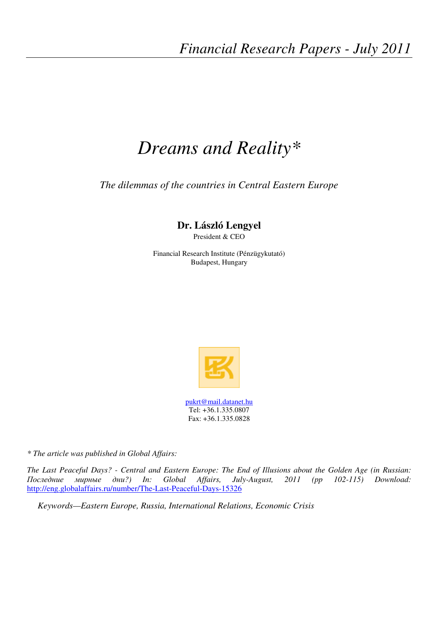# *Dreams and Reality\**

*The dilemmas of the countries in Central Eastern Europe* 

# **Dr. László Lengyel**

President & CEO

Financial Research Institute (Pénzügykutató) Budapest, Hungary



*\* The article was published in Global Affairs:* 

*The Last Peaceful Days? - Central and Eastern Europe: The End of Illusions about the Golden Age (in Russian:*  Последние мирные дни*?) In: Global Affairs, July-August, 2011 (pp 102-115) Download:*  http://eng.globalaffairs.ru/number/The-Last-Peaceful-Days-15326

*Keywords—Eastern Europe, Russia, International Relations, Economic Crisis*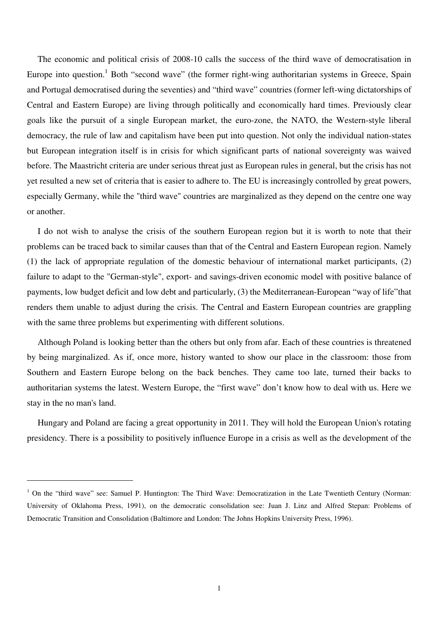The economic and political crisis of 2008-10 calls the success of the third wave of democratisation in Europe into question.<sup>1</sup> Both "second wave" (the former right-wing authoritarian systems in Greece, Spain and Portugal democratised during the seventies) and "third wave" countries (former left-wing dictatorships of Central and Eastern Europe) are living through politically and economically hard times. Previously clear goals like the pursuit of a single European market, the euro-zone, the NATO, the Western-style liberal democracy, the rule of law and capitalism have been put into question. Not only the individual nation-states but European integration itself is in crisis for which significant parts of national sovereignty was waived before. The Maastricht criteria are under serious threat just as European rules in general, but the crisis has not yet resulted a new set of criteria that is easier to adhere to. The EU is increasingly controlled by great powers, especially Germany, while the "third wave" countries are marginalized as they depend on the centre one way or another.

I do not wish to analyse the crisis of the southern European region but it is worth to note that their problems can be traced back to similar causes than that of the Central and Eastern European region. Namely (1) the lack of appropriate regulation of the domestic behaviour of international market participants, (2) failure to adapt to the "German-style", export- and savings-driven economic model with positive balance of payments, low budget deficit and low debt and particularly, (3) the Mediterranean-European "way of life"that renders them unable to adjust during the crisis. The Central and Eastern European countries are grappling with the same three problems but experimenting with different solutions.

Although Poland is looking better than the others but only from afar. Each of these countries is threatened by being marginalized. As if, once more, history wanted to show our place in the classroom: those from Southern and Eastern Europe belong on the back benches. They came too late, turned their backs to authoritarian systems the latest. Western Europe, the "first wave" don't know how to deal with us. Here we stay in the no man's land.

Hungary and Poland are facing a great opportunity in 2011. They will hold the European Union's rotating presidency. There is a possibility to positively influence Europe in a crisis as well as the development of the

<sup>&</sup>lt;sup>1</sup> On the "third wave" see: Samuel P. Huntington: The Third Wave: Democratization in the Late Twentieth Century (Norman: University of Oklahoma Press, 1991), on the democratic consolidation see: Juan J. Linz and Alfred Stepan: Problems of Democratic Transition and Consolidation (Baltimore and London: The Johns Hopkins University Press, 1996).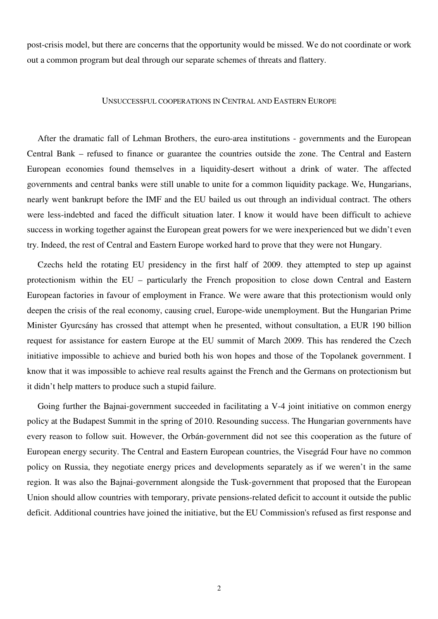post-crisis model, but there are concerns that the opportunity would be missed. We do not coordinate or work out a common program but deal through our separate schemes of threats and flattery.

## UNSUCCESSFUL COOPERATIONS IN CENTRAL AND EASTERN EUROPE

After the dramatic fall of Lehman Brothers, the euro-area institutions - governments and the European Central Bank – refused to finance or guarantee the countries outside the zone. The Central and Eastern European economies found themselves in a liquidity-desert without a drink of water. The affected governments and central banks were still unable to unite for a common liquidity package. We, Hungarians, nearly went bankrupt before the IMF and the EU bailed us out through an individual contract. The others were less-indebted and faced the difficult situation later. I know it would have been difficult to achieve success in working together against the European great powers for we were inexperienced but we didn't even try. Indeed, the rest of Central and Eastern Europe worked hard to prove that they were not Hungary.

Czechs held the rotating EU presidency in the first half of 2009. they attempted to step up against protectionism within the EU – particularly the French proposition to close down Central and Eastern European factories in favour of employment in France. We were aware that this protectionism would only deepen the crisis of the real economy, causing cruel, Europe-wide unemployment. But the Hungarian Prime Minister Gyurcsány has crossed that attempt when he presented, without consultation, a EUR 190 billion request for assistance for eastern Europe at the EU summit of March 2009. This has rendered the Czech initiative impossible to achieve and buried both his won hopes and those of the Topolanek government. I know that it was impossible to achieve real results against the French and the Germans on protectionism but it didn't help matters to produce such a stupid failure.

Going further the Bajnai-government succeeded in facilitating a V-4 joint initiative on common energy policy at the Budapest Summit in the spring of 2010. Resounding success. The Hungarian governments have every reason to follow suit. However, the Orbán-government did not see this cooperation as the future of European energy security. The Central and Eastern European countries, the Visegrád Four have no common policy on Russia, they negotiate energy prices and developments separately as if we weren't in the same region. It was also the Bajnai-government alongside the Tusk-government that proposed that the European Union should allow countries with temporary, private pensions-related deficit to account it outside the public deficit. Additional countries have joined the initiative, but the EU Commission's refused as first response and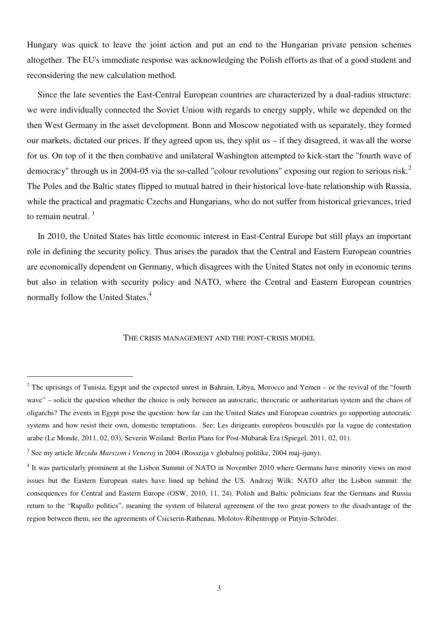Hungary was quick to leave the joint action and put an end to the Hungarian private pension schemes altogether. The EU's immediate response was acknowledging the Polish efforts as that of a good student and reconsidering the new calculation method.

Since the late seventies the East-Central European countries are characterized by a dual-radius structure: we were individually connected the Soviet Union with regards to energy supply, while we depended on the then West Germany in the asset development. Bonn and Moscow negotiated with us separately, they formed our markets, dictated our prices. If they agreed upon us, they split us – if they disagreed, it was all the worse for us. On top of it the then combative and unilateral Washington attempted to kick-start the "fourth wave of democracy" through us in 2004-05 via the so-called "colour revolutions" exposing our region to serious risk.<sup>2</sup> The Poles and the Baltic states flipped to mutual hatred in their historical love-hate relationship with Russia, while the practical and pragmatic Czechs and Hungarians, who do not suffer from historical grievances, tried to remain neutral. <sup>3</sup>

In 2010, the United States has little economic interest in East-Central Europe but still plays an important role in defining the security policy. Thus arises the paradox that the Central and Eastern European countries are economically dependent on Germany, which disagrees with the United States not only in economic terms but also in relation with security policy and NATO, where the Central and Eastern European countries normally follow the United States.<sup>4</sup>

#### THE CRISIS MANAGEMENT AND THE POST-CRISIS MODEL

 $2$  The uprisings of Tunisia, Egypt and the expected unrest in Bahrain, Libya, Morocco and Yemen – or the revival of the "fourth wave" – solicit the question whether the choice is only between an autocratic, theocratic or authoritarian system and the chaos of oligarchs? The events in Egypt pose the question: how far can the United States and European countries go supporting autocratic systems and how resist their own, domestic temptations. See: Les dirigeants européens bousculés par la vague de contestation arabe (Le Monde, 2011, 02, 03), Severin Weiland: Berlin Plans for Post-Mubarak Era (Spiegel, 2011, 02, 01).

<sup>3</sup> See my article *Mezsdu Marszom i Veneroj* in 2004 (Rosszija v globalnoj politike, 2004 maj-ijuny).

<sup>&</sup>lt;sup>4</sup> It was particularly prominent at the Lisbon Summit of NATO in November 2010 where Germans have minority views on most issues but the Eastern European states have lined up behind the US. Andrzej Wilk: NATO after the Lisbon summit: the consequences for Central and Eastern Europe (OSW, 2010, 11, 24). Polish and Baltic politicians fear the Germans and Russia return to the "Rapallo politics", meaning the system of bilateral agreement of the two great powers to the disadvantage of the region between them, see the agreements of Csicserin-Rathenau, Molotov-Ribentropp or Putyin-Schröder.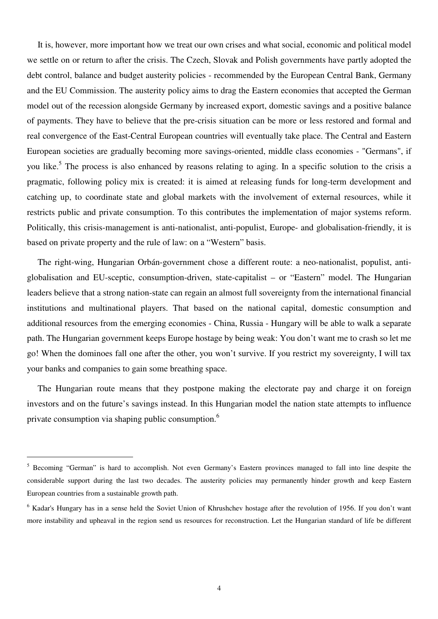It is, however, more important how we treat our own crises and what social, economic and political model we settle on or return to after the crisis. The Czech, Slovak and Polish governments have partly adopted the debt control, balance and budget austerity policies - recommended by the European Central Bank, Germany and the EU Commission. The austerity policy aims to drag the Eastern economies that accepted the German model out of the recession alongside Germany by increased export, domestic savings and a positive balance of payments. They have to believe that the pre-crisis situation can be more or less restored and formal and real convergence of the East-Central European countries will eventually take place. The Central and Eastern European societies are gradually becoming more savings-oriented, middle class economies - "Germans", if you like.<sup>5</sup> The process is also enhanced by reasons relating to aging. In a specific solution to the crisis a pragmatic, following policy mix is created: it is aimed at releasing funds for long-term development and catching up, to coordinate state and global markets with the involvement of external resources, while it restricts public and private consumption. To this contributes the implementation of major systems reform. Politically, this crisis-management is anti-nationalist, anti-populist, Europe- and globalisation-friendly, it is based on private property and the rule of law: on a "Western" basis.

The right-wing, Hungarian Orbán-government chose a different route: a neo-nationalist, populist, antiglobalisation and EU-sceptic, consumption-driven, state-capitalist – or "Eastern" model. The Hungarian leaders believe that a strong nation-state can regain an almost full sovereignty from the international financial institutions and multinational players. That based on the national capital, domestic consumption and additional resources from the emerging economies - China, Russia - Hungary will be able to walk a separate path. The Hungarian government keeps Europe hostage by being weak: You don't want me to crash so let me go! When the dominoes fall one after the other, you won't survive. If you restrict my sovereignty, I will tax your banks and companies to gain some breathing space.

The Hungarian route means that they postpone making the electorate pay and charge it on foreign investors and on the future's savings instead. In this Hungarian model the nation state attempts to influence private consumption via shaping public consumption.<sup>6</sup>

<sup>&</sup>lt;sup>5</sup> Becoming "German" is hard to accomplish. Not even Germany's Eastern provinces managed to fall into line despite the considerable support during the last two decades. The austerity policies may permanently hinder growth and keep Eastern European countries from a sustainable growth path.

<sup>&</sup>lt;sup>6</sup> Kadar's Hungary has in a sense held the Soviet Union of Khrushchev hostage after the revolution of 1956. If you don't want more instability and upheaval in the region send us resources for reconstruction. Let the Hungarian standard of life be different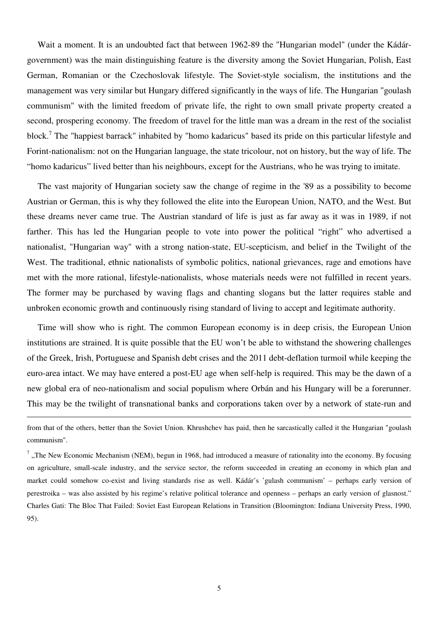Wait a moment. It is an undoubted fact that between 1962-89 the "Hungarian model" (under the Kádárgovernment) was the main distinguishing feature is the diversity among the Soviet Hungarian, Polish, East German, Romanian or the Czechoslovak lifestyle. The Soviet-style socialism, the institutions and the management was very similar but Hungary differed significantly in the ways of life. The Hungarian "goulash communism" with the limited freedom of private life, the right to own small private property created a second, prospering economy. The freedom of travel for the little man was a dream in the rest of the socialist block.<sup>7</sup> The "happiest barrack" inhabited by "homo kadaricus" based its pride on this particular lifestyle and Forint-nationalism: not on the Hungarian language, the state tricolour, not on history, but the way of life. The "homo kadaricus" lived better than his neighbours, except for the Austrians, who he was trying to imitate.

The vast majority of Hungarian society saw the change of regime in the '89 as a possibility to become Austrian or German, this is why they followed the elite into the European Union, NATO, and the West. But these dreams never came true. The Austrian standard of life is just as far away as it was in 1989, if not farther. This has led the Hungarian people to vote into power the political "right" who advertised a nationalist, "Hungarian way" with a strong nation-state, EU-scepticism, and belief in the Twilight of the West. The traditional, ethnic nationalists of symbolic politics, national grievances, rage and emotions have met with the more rational, lifestyle-nationalists, whose materials needs were not fulfilled in recent years. The former may be purchased by waving flags and chanting slogans but the latter requires stable and unbroken economic growth and continuously rising standard of living to accept and legitimate authority.

Time will show who is right. The common European economy is in deep crisis, the European Union institutions are strained. It is quite possible that the EU won't be able to withstand the showering challenges of the Greek, Irish, Portuguese and Spanish debt crises and the 2011 debt-deflation turmoil while keeping the euro-area intact. We may have entered a post-EU age when self-help is required. This may be the dawn of a new global era of neo-nationalism and social populism where Orbán and his Hungary will be a forerunner. This may be the twilight of transnational banks and corporations taken over by a network of state-run and

-

from that of the others, better than the Soviet Union. Khrushchev has paid, then he sarcastically called it the Hungarian "goulash communism".

 $<sup>7</sup>$ , The New Economic Mechanism (NEM), begun in 1968, had introduced a measure of rationality into the economy. By focusing</sup> on agriculture, small-scale industry, and the service sector, the reform succeeded in creating an economy in which plan and market could somehow co-exist and living standards rise as well. Kádár's 'gulash communism' – perhaps early version of perestroika – was also assisted by his regime's relative political tolerance and openness – perhaps an early version of glasnost." Charles Gati: The Bloc That Failed: Soviet East European Relations in Transition (Bloomington: Indiana University Press, 1990, 95).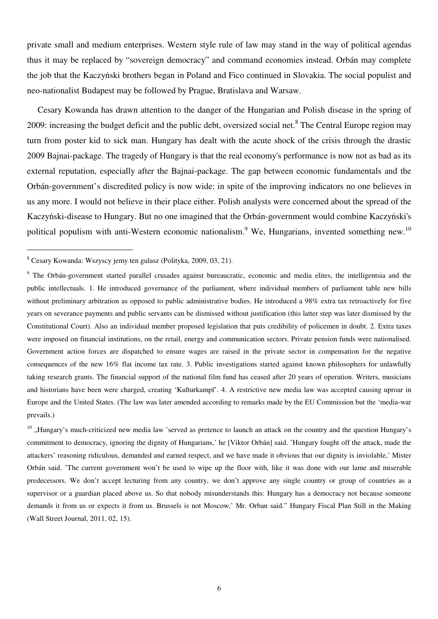private small and medium enterprises. Western style rule of law may stand in the way of political agendas thus it may be replaced by "sovereign democracy" and command economies instead. Orbán may complete the job that the Kaczyński brothers began in Poland and Fico continued in Slovakia. The social populist and neo-nationalist Budapest may be followed by Prague, Bratislava and Warsaw.

Cesary Kowanda has drawn attention to the danger of the Hungarian and Polish disease in the spring of 2009: increasing the budget deficit and the public debt, oversized social net.<sup>8</sup> The Central Europe region may turn from poster kid to sick man. Hungary has dealt with the acute shock of the crisis through the drastic 2009 Bajnai-package. The tragedy of Hungary is that the real economy's performance is now not as bad as its external reputation, especially after the Bajnai-package. The gap between economic fundamentals and the Orbán-government's discredited policy is now wide: in spite of the improving indicators no one believes in us any more. I would not believe in their place either. Polish analysts were concerned about the spread of the Kaczyński-disease to Hungary. But no one imagined that the Orbán-government would combine Kaczyński's political populism with anti-Western economic nationalism.<sup>9</sup> We, Hungarians, invented something new.<sup>10</sup>

 $\overline{a}$ 

 $10$  . Hungary's much-criticized new media law 'served as pretence to launch an attack on the country and the question Hungary's commitment to democracy, ignoring the dignity of Hungarians,' he [Viktor Orbán] said. 'Hungary fought off the attack, made the attackers' reasoning ridiculous, demanded and earned respect, and we have made it obvious that our dignity is inviolable,' Mister Orbán said. 'The current government won't be used to wipe up the floor with, like it was done with our lame and miserable predecessors. We don't accept lecturing from any country, we don't approve any single country or group of countries as a supervisor or a guardian placed above us. So that nobody misunderstands this: Hungary has a democracy not because someone demands it from us or expects it from us. Brussels is not Moscow,' Mr. Orban said." Hungary Fiscal Plan Still in the Making (Wall Street Journal, 2011, 02, 15).

<sup>8</sup> Cesary Kowanda: Wszyscy jemy ten gulasz (Polityka, 2009, 03, 21).

<sup>&</sup>lt;sup>9</sup> The Orbán-government started parallel crusades against bureaucratic, economic and media elites, the intelligentsia and the public intellectuals. 1. He introduced governance of the parliament, where individual members of parliament table new bills without preliminary arbitration as opposed to public administrative bodies. He introduced a 98% extra tax retroactively for five years on severance payments and public servants can be dismissed without justification (this latter step was later dismissed by the Constitutional Court). Also an individual member proposed legislation that puts credibility of policemen in doubt. 2. Extra taxes were imposed on financial institutions, on the retail, energy and communication sectors. Private pension funds were nationalised. Government action forces are dispatched to ensure wages are raised in the private sector in compensation for the negative consequences of the new 16% flat income tax rate. 3. Public investigations started against known philosophers for unlawfully taking research grants. The financial support of the national film fund has ceased after 20 years of operation. Writers, musicians and historians have been were charged, creating 'Kulturkampf'. 4. A restrictive new media law was accepted causing uproar in Europe and the United States. (The law was later amended according to remarks made by the EU Commission but the 'media-war prevails.)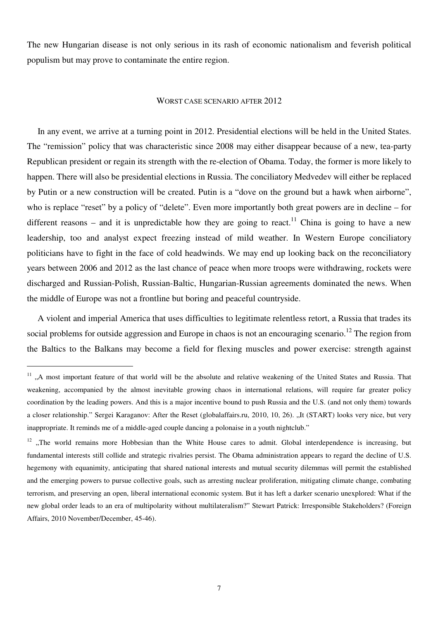The new Hungarian disease is not only serious in its rash of economic nationalism and feverish political populism but may prove to contaminate the entire region.

### WORST CASE SCENARIO AFTER 2012

In any event, we arrive at a turning point in 2012. Presidential elections will be held in the United States. The "remission" policy that was characteristic since 2008 may either disappear because of a new, tea-party Republican president or regain its strength with the re-election of Obama. Today, the former is more likely to happen. There will also be presidential elections in Russia. The conciliatory Medvedev will either be replaced by Putin or a new construction will be created. Putin is a "dove on the ground but a hawk when airborne", who is replace "reset" by a policy of "delete". Even more importantly both great powers are in decline – for different reasons – and it is unpredictable how they are going to react.<sup>11</sup> China is going to have a new leadership, too and analyst expect freezing instead of mild weather. In Western Europe conciliatory politicians have to fight in the face of cold headwinds. We may end up looking back on the reconciliatory years between 2006 and 2012 as the last chance of peace when more troops were withdrawing, rockets were discharged and Russian-Polish, Russian-Baltic, Hungarian-Russian agreements dominated the news. When the middle of Europe was not a frontline but boring and peaceful countryside.

A violent and imperial America that uses difficulties to legitimate relentless retort, a Russia that trades its social problems for outside aggression and Europe in chaos is not an encouraging scenario.<sup>12</sup> The region from the Baltics to the Balkans may become a field for flexing muscles and power exercise: strength against

 $11$  ., A most important feature of that world will be the absolute and relative weakening of the United States and Russia. That weakening, accompanied by the almost inevitable growing chaos in international relations, will require far greater policy coordination by the leading powers. And this is a major incentive bound to push Russia and the U.S. (and not only them) towards a closer relationship." Sergei Karaganov: After the Reset (globalaffairs.ru, 2010, 10, 26). "It (START) looks very nice, but very inappropriate. It reminds me of a middle-aged couple dancing a polonaise in a youth nightclub."

 $12$  . The world remains more Hobbesian than the White House cares to admit. Global interdependence is increasing, but fundamental interests still collide and strategic rivalries persist. The Obama administration appears to regard the decline of U.S. hegemony with equanimity, anticipating that shared national interests and mutual security dilemmas will permit the established and the emerging powers to pursue collective goals, such as arresting nuclear proliferation, mitigating climate change, combating terrorism, and preserving an open, liberal international economic system. But it has left a darker scenario unexplored: What if the new global order leads to an era of multipolarity without multilateralism?" Stewart Patrick: Irresponsible Stakeholders? (Foreign Affairs, 2010 November/December, 45-46).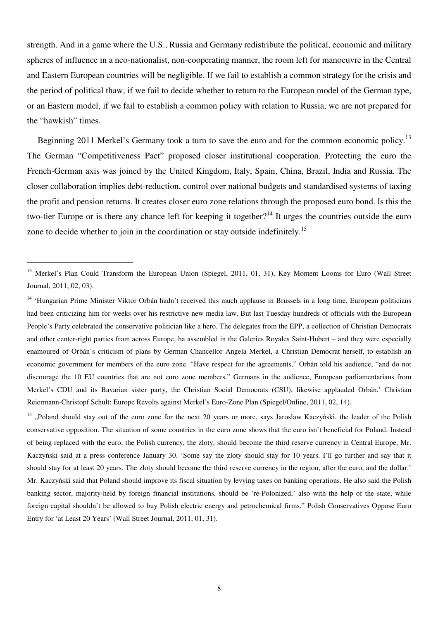strength. And in a game where the U.S., Russia and Germany redistribute the political, economic and military spheres of influence in a neo-nationalist, non-cooperating manner, the room left for manoeuvre in the Central and Eastern European countries will be negligible. If we fail to establish a common strategy for the crisis and the period of political thaw, if we fail to decide whether to return to the European model of the German type, or an Eastern model, if we fail to establish a common policy with relation to Russia, we are not prepared for the "hawkish" times.

Beginning 2011 Merkel's Germany took a turn to save the euro and for the common economic policy.<sup>13</sup> The German "Competitiveness Pact" proposed closer institutional cooperation. Protecting the euro the French-German axis was joined by the United Kingdom, Italy, Spain, China, Brazil, India and Russia. The closer collaboration implies debt-reduction, control over national budgets and standardised systems of taxing the profit and pension returns. It creates closer euro zone relations through the proposed euro bond. Is this the two-tier Europe or is there any chance left for keeping it together?<sup>14</sup> It urges the countries outside the euro zone to decide whether to join in the coordination or stay outside indefinitely.<sup>15</sup>

 $\overline{a}$ 

<sup>15</sup> ..Poland should stay out of the euro zone for the next 20 years or more, says Jaroslaw Kaczyński, the leader of the Polish conservative opposition. The situation of some countries in the euro zone shows that the euro isn't beneficial for Poland. Instead of being replaced with the euro, the Polish currency, the zloty, should become the third reserve currency in Central Europe, Mr. Kaczyński said at a press conference January 30. 'Some say the zloty should stay for 10 years. I'll go further and say that it should stay for at least 20 years. The zloty should become the third reserve currency in the region, after the euro, and the dollar.' Mr. Kaczyński said that Poland should improve its fiscal situation by levying taxes on banking operations. He also said the Polish banking sector, majority-held by foreign financial institutions, should be 're-Polonized,' also with the help of the state, while foreign capital shouldn't be allowed to buy Polish electric energy and petrochemical firms." Polish Conservatives Oppose Euro Entry for 'at Least 20 Years' (Wall Street Journal, 2011, 01, 31).

<sup>&</sup>lt;sup>13</sup> Merkel's Plan Could Transform the European Union (Spiegel, 2011, 01, 31), Key Moment Looms for Euro (Wall Street Journal, 2011, 02, 03).

<sup>&</sup>lt;sup>14</sup> 'Hungarian Prime Minister Viktor Orbán hadn't received this much applause in Brussels in a long time. European politicians had been criticizing him for weeks over his restrictive new media law. But last Tuesday hundreds of officials with the European People's Party celebrated the conservative politician like a hero. The delegates from the EPP, a collection of Christian Democrats and other center-right parties from across Europe, ha assembled in the Galeries Royales Saint-Hubert – and they were especially enamoured of Orbán's criticism of plans by German Chancellor Angela Merkel, a Christian Democrat herself, to establish an economic government for members of the euro zone. "Have respect for the agreements," Orbán told his audience, "and do not discourage the 10 EU countries that are not euro zone members." Germans in the audience, European parliamentarians from Merkel's CDU and its Bavarian sister party, the Christian Social Democrats (CSU), likewise applauded Orbán.' Christian Reiermann-Christopf Schult: Europe Revolts against Merkel's Euro-Zone Plan (Spiegel/Online, 2011, 02, 14).